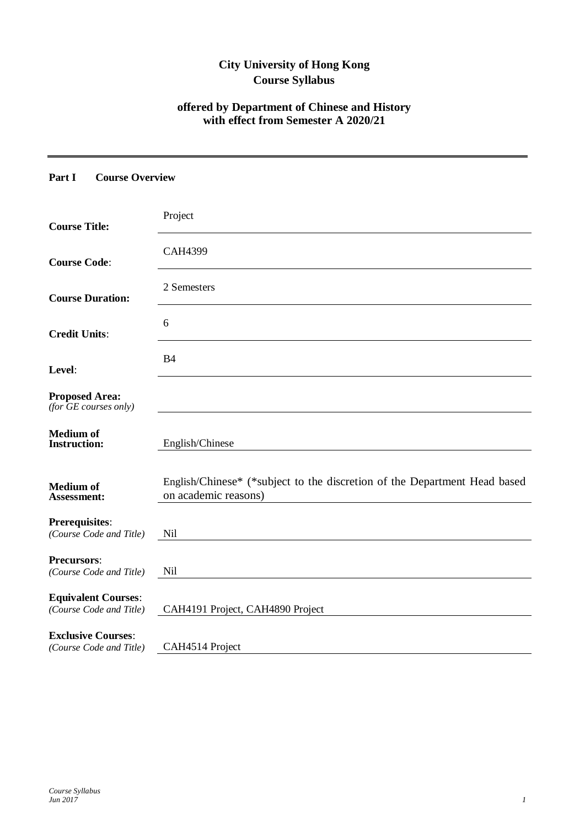# **City University of Hong Kong Course Syllabus**

# **offered by Department of Chinese and History with effect from Semester A 2020/21**

### **Part I Course Overview**

| <b>Course Title:</b>                                  | Project                                                                                           |
|-------------------------------------------------------|---------------------------------------------------------------------------------------------------|
| <b>Course Code:</b>                                   | <b>CAH4399</b>                                                                                    |
| <b>Course Duration:</b>                               | 2 Semesters                                                                                       |
| <b>Credit Units:</b>                                  | 6                                                                                                 |
| Level:                                                | B <sub>4</sub>                                                                                    |
| <b>Proposed Area:</b><br>(for $GE$ courses only)      |                                                                                                   |
| <b>Medium of</b><br><b>Instruction:</b>               | English/Chinese                                                                                   |
|                                                       |                                                                                                   |
| <b>Medium of</b><br><b>Assessment:</b>                | English/Chinese* (*subject to the discretion of the Department Head based<br>on academic reasons) |
| Prerequisites:<br>(Course Code and Title)             | Nil                                                                                               |
| <b>Precursors:</b><br>(Course Code and Title)         | Nil                                                                                               |
| <b>Equivalent Courses:</b><br>(Course Code and Title) | CAH4191 Project, CAH4890 Project                                                                  |
| <b>Exclusive Courses:</b><br>(Course Code and Title)  | CAH4514 Project                                                                                   |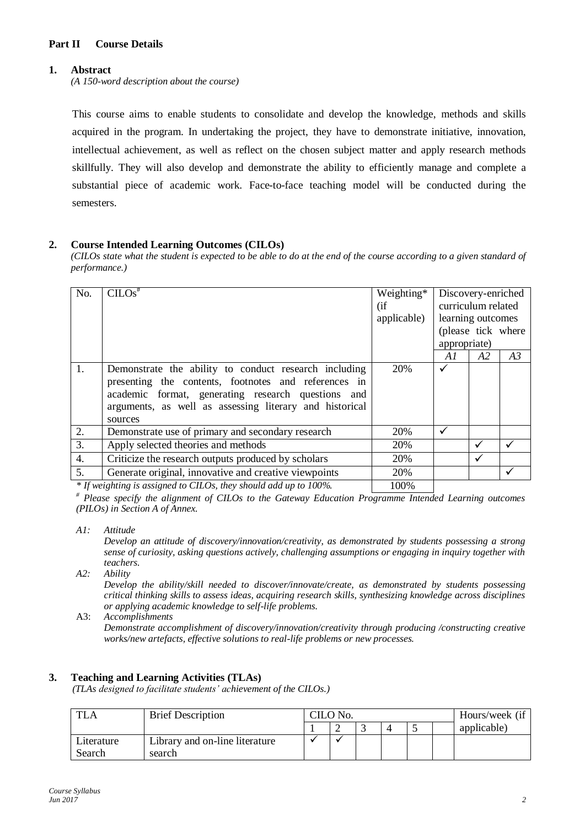# **Part II Course Details**

### **1. Abstract**

*(A 150-word description about the course)*

This course aims to enable students to consolidate and develop the knowledge, methods and skills acquired in the program. In undertaking the project, they have to demonstrate initiative, innovation, intellectual achievement, as well as reflect on the chosen subject matter and apply research methods skillfully. They will also develop and demonstrate the ability to efficiently manage and complete a substantial piece of academic work. Face-to-face teaching model will be conducted during the semesters.

#### **2. Course Intended Learning Outcomes (CILOs)**

*(CILOs state what the student is expected to be able to do at the end of the course according to a given standard of performance.)*

| No.              | $CLOS^*$                                                            | Weighting*  |              | Discovery-enriched |    |
|------------------|---------------------------------------------------------------------|-------------|--------------|--------------------|----|
|                  |                                                                     | (i f)       |              | curriculum related |    |
|                  |                                                                     | applicable) |              | learning outcomes  |    |
|                  |                                                                     |             |              | (please tick where |    |
|                  |                                                                     |             | appropriate) |                    |    |
|                  |                                                                     |             | A1           | A2                 | A3 |
| 1.               | Demonstrate the ability to conduct research including               | 20%         | ✓            |                    |    |
|                  | presenting the contents, footnotes and references in                |             |              |                    |    |
|                  | academic format, generating research questions and                  |             |              |                    |    |
|                  | arguments, as well as assessing literary and historical             |             |              |                    |    |
|                  | sources                                                             |             |              |                    |    |
| 2.               | Demonstrate use of primary and secondary research                   | 20%         | ✓            |                    |    |
| 3.               | Apply selected theories and methods                                 | 20%         |              | ✔                  |    |
| $\overline{4}$ . | Criticize the research outputs produced by scholars                 | 20%         |              | $\checkmark$       |    |
| 5.               | Generate original, innovative and creative viewpoints               | 20%         |              |                    |    |
|                  | $*$ If weighting is assigned to CHOs, they should add up to $100\%$ | 1000'       |              |                    |    |

*If weighting is assigned to CILOs, they should add up to 100%* 100%

*# Please specify the alignment of CILOs to the Gateway Education Programme Intended Learning outcomes (PILOs) in Section A of Annex.* 

*A1: Attitude* 

*Develop an attitude of discovery/innovation/creativity, as demonstrated by students possessing a strong sense of curiosity, asking questions actively, challenging assumptions or engaging in inquiry together with teachers.*

*A2: Ability*

*Develop the ability/skill needed to discover/innovate/create, as demonstrated by students possessing critical thinking skills to assess ideas, acquiring research skills, synthesizing knowledge across disciplines or applying academic knowledge to self-life problems.*

A3: *Accomplishments*

*Demonstrate accomplishment of discovery/innovation/creativity through producing /constructing creative works/new artefacts, effective solutions to real-life problems or new processes.*

#### **3. Teaching and Learning Activities (TLAs)**

*(TLAs designed to facilitate students' achievement of the CILOs.)*

|            | <b>Brief Description</b>       | CILO No. |  |  | Hours/week (if |  |             |
|------------|--------------------------------|----------|--|--|----------------|--|-------------|
|            |                                |          |  |  |                |  | applicable) |
| Literature | Library and on-line literature |          |  |  |                |  |             |
| Search     | search                         |          |  |  |                |  |             |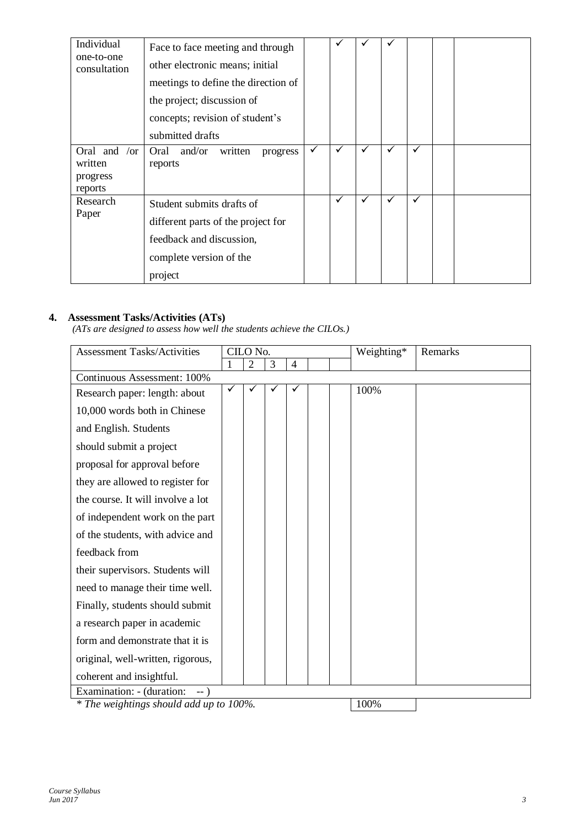| Individual<br>one-to-one<br>consultation               | Face to face meeting and through<br>other electronic means; initial<br>meetings to define the direction of<br>the project; discussion of<br>concepts; revision of student's |              |              |              |   |   |  |
|--------------------------------------------------------|-----------------------------------------------------------------------------------------------------------------------------------------------------------------------------|--------------|--------------|--------------|---|---|--|
| Oral and<br>$\sigma$<br>written<br>progress<br>reports | submitted drafts<br>and/or<br>written<br>Oral<br>progress<br>reports                                                                                                        | $\checkmark$ | $\checkmark$ | $\checkmark$ | ✓ | ✓ |  |
| Research<br>Paper                                      | Student submits drafts of<br>different parts of the project for<br>feedback and discussion,<br>complete version of the<br>project                                           |              | ✓            | ✓            | ✓ | ✓ |  |

# **4. Assessment Tasks/Activities (ATs)**

*(ATs are designed to assess how well the students achieve the CILOs.)*

| 2<br>3<br>4<br>Continuous Assessment: 100%<br>100%<br>Research paper: length: about<br>10,000 words both in Chinese<br>and English. Students<br>should submit a project<br>proposal for approval before<br>they are allowed to register for<br>the course. It will involve a lot<br>of independent work on the part | <b>Assessment Tasks/Activities</b> |
|---------------------------------------------------------------------------------------------------------------------------------------------------------------------------------------------------------------------------------------------------------------------------------------------------------------------|------------------------------------|
|                                                                                                                                                                                                                                                                                                                     |                                    |
|                                                                                                                                                                                                                                                                                                                     |                                    |
|                                                                                                                                                                                                                                                                                                                     |                                    |
|                                                                                                                                                                                                                                                                                                                     |                                    |
|                                                                                                                                                                                                                                                                                                                     |                                    |
|                                                                                                                                                                                                                                                                                                                     |                                    |
|                                                                                                                                                                                                                                                                                                                     |                                    |
|                                                                                                                                                                                                                                                                                                                     |                                    |
|                                                                                                                                                                                                                                                                                                                     |                                    |
|                                                                                                                                                                                                                                                                                                                     |                                    |
| of the students, with advice and                                                                                                                                                                                                                                                                                    |                                    |
| feedback from                                                                                                                                                                                                                                                                                                       |                                    |
| their supervisors. Students will                                                                                                                                                                                                                                                                                    |                                    |
| need to manage their time well.                                                                                                                                                                                                                                                                                     |                                    |
| Finally, students should submit                                                                                                                                                                                                                                                                                     |                                    |
| a research paper in academic                                                                                                                                                                                                                                                                                        |                                    |
| form and demonstrate that it is                                                                                                                                                                                                                                                                                     |                                    |
| original, well-written, rigorous,                                                                                                                                                                                                                                                                                   |                                    |
| coherent and insightful.                                                                                                                                                                                                                                                                                            |                                    |
| Examination: - (duration:<br>$--$ )                                                                                                                                                                                                                                                                                 |                                    |

*\** The weightings should add up to 100%. 100%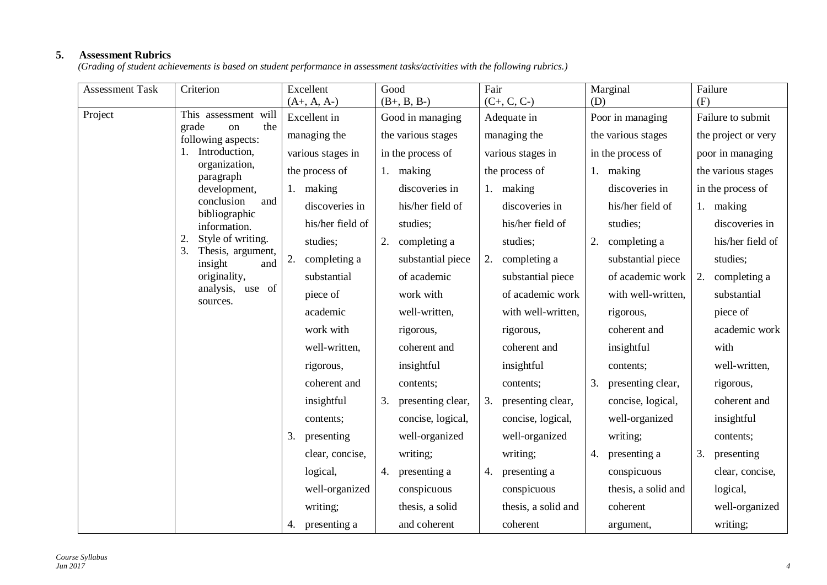# **5. Assessment Rubrics**

*(Grading of student achievements is based on student performance in assessment tasks/activities with the following rubrics.)*

| <b>Assessment Task</b> | Criterion                                 | Excellent          | Good                    | Fair                    | Marginal                | Failure             |
|------------------------|-------------------------------------------|--------------------|-------------------------|-------------------------|-------------------------|---------------------|
|                        |                                           | $(A+, A, A-)$      | $(B+, B, B-)$           | $(C+, C, C-)$           | (D)                     | (F)                 |
| Project                | This assessment will<br>grade<br>the      | Excellent in       | Good in managing        | Adequate in             | Poor in managing        | Failure to submit   |
|                        | on<br>following aspects:                  | managing the       | the various stages      | managing the            | the various stages      | the project or very |
|                        | Introduction,                             | various stages in  | in the process of       | various stages in       | in the process of       | poor in managing    |
|                        | organization,<br>paragraph                | the process of     | 1. making               | the process of          | 1. making               | the various stages  |
|                        | development,                              | 1. making          | discoveries in          | 1. making               | discoveries in          | in the process of   |
|                        | conclusion<br>and<br>bibliographic        | discoveries in     | his/her field of        | discoveries in          | his/her field of        | 1. making           |
|                        | information.                              | his/her field of   | studies;                | his/her field of        | studies;                | discoveries in      |
|                        | Style of writing.                         | studies;           | completing a<br>2.      | studies;                | completing a<br>2.      | his/her field of    |
|                        | Thesis, argument,<br>3.<br>insight<br>and | 2.<br>completing a | substantial piece       | 2.<br>completing a      | substantial piece       | studies;            |
|                        | originality,                              | substantial        | of academic             | substantial piece       | of academic work        | completing a<br>2.  |
|                        | analysis, use of<br>sources.              | piece of           | work with               | of academic work        | with well-written,      | substantial         |
|                        |                                           | academic           | well-written,           | with well-written,      | rigorous,               | piece of            |
|                        |                                           | work with          | rigorous,               | rigorous,               | coherent and            | academic work       |
|                        |                                           | well-written,      | coherent and            | coherent and            | insightful              | with                |
|                        |                                           | rigorous,          | insightful              | insightful              | contents;               | well-written,       |
|                        |                                           | coherent and       | contents;               | contents;               | 3.<br>presenting clear, | rigorous,           |
|                        |                                           | insightful         | presenting clear,<br>3. | presenting clear,<br>3. | concise, logical,       | coherent and        |
|                        |                                           | contents;          | concise, logical,       | concise, logical,       | well-organized          | insightful          |
|                        |                                           | 3.<br>presenting   | well-organized          | well-organized          | writing;                | contents;           |
|                        |                                           | clear, concise,    | writing;                | writing;                | 4. presenting a         | 3.<br>presenting    |
|                        |                                           | logical,           | 4. presenting a         | presenting a<br>4.      | conspicuous             | clear, concise,     |
|                        |                                           | well-organized     | conspicuous             | conspicuous             | thesis, a solid and     | logical,            |
|                        |                                           | writing;           | thesis, a solid         | thesis, a solid and     | coherent                | well-organized      |
|                        |                                           | presenting a<br>4. | and coherent            | coherent                | argument,               | writing;            |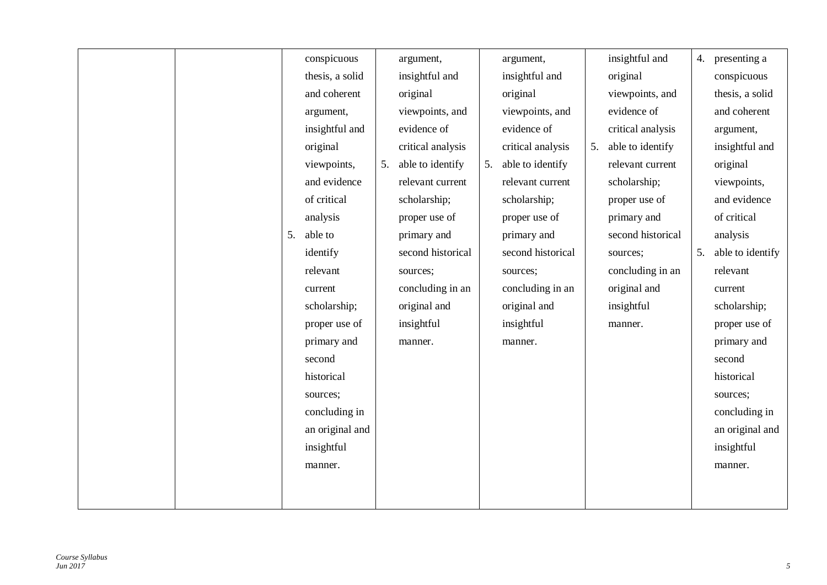| conspicuous<br>insightful and<br>4. presenting a<br>argument,<br>argument,                      |                  |
|-------------------------------------------------------------------------------------------------|------------------|
| insightful and<br>original<br>conspicuous<br>thesis, a solid<br>insightful and                  |                  |
| and coherent<br>original<br>original<br>viewpoints, and<br>thesis, a solid                      |                  |
| evidence of<br>viewpoints, and<br>viewpoints, and<br>and coherent<br>argument,                  |                  |
| evidence of<br>evidence of<br>insightful and<br>critical analysis<br>argument,                  |                  |
| able to identify<br>original<br>critical analysis<br>critical analysis<br>insightful and<br>5.  |                  |
| able to identify<br>able to identify<br>viewpoints,<br>5.<br>relevant current<br>original<br>5. |                  |
| and evidence<br>relevant current<br>relevant current<br>scholarship;<br>viewpoints,             |                  |
| of critical<br>and evidence<br>scholarship;<br>scholarship;<br>proper use of                    |                  |
| of critical<br>analysis<br>proper use of<br>primary and<br>proper use of                        |                  |
| able to<br>second historical<br>5.<br>primary and<br>primary and<br>analysis                    |                  |
| identify<br>second historical<br>second historical<br>5.<br>sources;                            | able to identify |
| concluding in an<br>relevant<br>relevant<br>sources;<br>sources;                                |                  |
| original and<br>concluding in an<br>concluding in an<br>current<br>current                      |                  |
| original and<br>scholarship;<br>original and<br>insightful<br>scholarship;                      |                  |
| proper use of<br>insightful<br>insightful<br>proper use of<br>manner.                           |                  |
| primary and<br>primary and<br>manner.<br>manner.                                                |                  |
| second<br>second                                                                                |                  |
| historical<br>historical                                                                        |                  |
| sources:<br>sources;                                                                            |                  |
| concluding in<br>concluding in                                                                  |                  |
| an original and                                                                                 | an original and  |
| insightful<br>insightful                                                                        |                  |
| manner.<br>manner.                                                                              |                  |
|                                                                                                 |                  |
|                                                                                                 |                  |